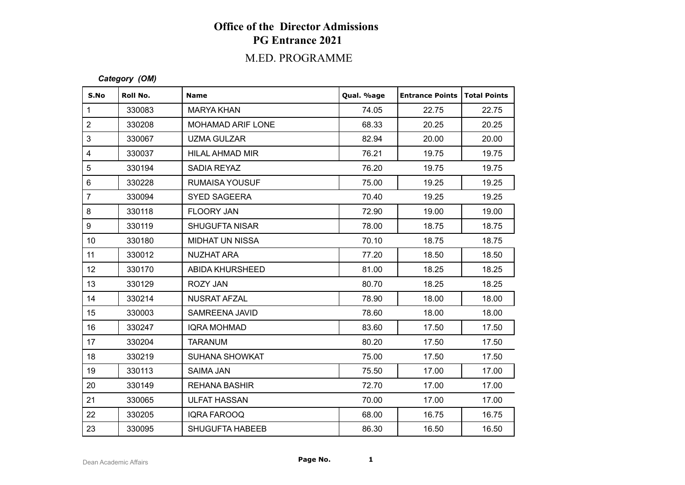# **Office of the Director Admissions PG Entrance 2021**

## M.ED. PROGRAMME

#### *Category (OM)*

| S.No            | Roll No. | <b>Name</b>              | Qual. %age | <b>Entrance Points</b> | <b>Total Points</b> |
|-----------------|----------|--------------------------|------------|------------------------|---------------------|
| $\mathbf{1}$    | 330083   | <b>MARYA KHAN</b>        | 74.05      | 22.75                  | 22.75               |
| $\overline{2}$  | 330208   | <b>MOHAMAD ARIF LONE</b> | 68.33      | 20.25                  | 20.25               |
| 3               | 330067   | <b>UZMA GULZAR</b>       | 82.94      | 20.00                  | 20.00               |
| $\overline{4}$  | 330037   | HILAL AHMAD MIR          | 76.21      | 19.75                  | 19.75               |
| 5               | 330194   | SADIA REYAZ              | 76.20      | 19.75                  | 19.75               |
| $\,6\,$         | 330228   | RUMAISA YOUSUF           | 75.00      | 19.25                  | 19.25               |
| $\overline{7}$  | 330094   | <b>SYED SAGEERA</b>      | 70.40      | 19.25                  | 19.25               |
| 8               | 330118   | FLOORY JAN               | 72.90      | 19.00                  | 19.00               |
| 9               | 330119   | <b>SHUGUFTA NISAR</b>    | 78.00      | 18.75                  | 18.75               |
| 10 <sup>1</sup> | 330180   | <b>MIDHAT UN NISSA</b>   | 70.10      | 18.75                  | 18.75               |
| 11              | 330012   | <b>NUZHAT ARA</b>        | 77.20      | 18.50                  | 18.50               |
| 12 <sub>2</sub> | 330170   | ABIDA KHURSHEED          | 81.00      | 18.25                  | 18.25               |
| 13              | 330129   | <b>ROZY JAN</b>          | 80.70      | 18.25                  | 18.25               |
| 14              | 330214   | <b>NUSRAT AFZAL</b>      | 78.90      | 18.00                  | 18.00               |
| 15              | 330003   | SAMREENA JAVID           | 78.60      | 18.00                  | 18.00               |
| 16              | 330247   | <b>IQRA MOHMAD</b>       | 83.60      | 17.50                  | 17.50               |
| 17              | 330204   | <b>TARANUM</b>           | 80.20      | 17.50                  | 17.50               |
| 18              | 330219   | <b>SUHANA SHOWKAT</b>    | 75.00      | 17.50                  | 17.50               |
| 19              | 330113   | <b>SAIMA JAN</b>         | 75.50      | 17.00                  | 17.00               |
| 20              | 330149   | <b>REHANA BASHIR</b>     | 72.70      | 17.00                  | 17.00               |
| 21              | 330065   | <b>ULFAT HASSAN</b>      | 70.00      | 17.00                  | 17.00               |
| 22              | 330205   | <b>IQRA FAROOQ</b>       | 68.00      | 16.75                  | 16.75               |
| 23              | 330095   | <b>SHUGUFTA HABEEB</b>   | 86.30      | 16.50                  | 16.50               |